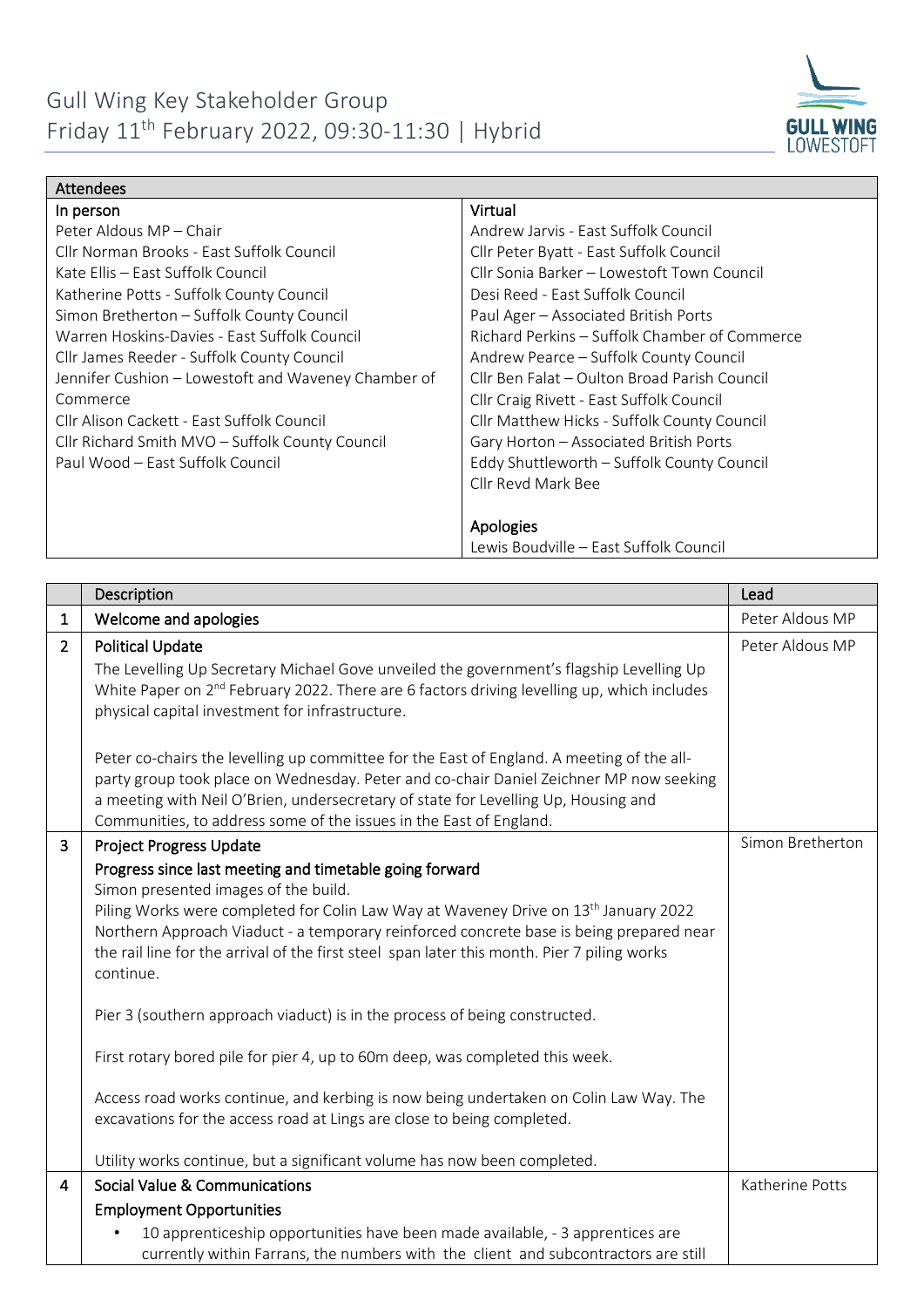

| <b>Attendees</b>                                    |                                               |  |  |
|-----------------------------------------------------|-----------------------------------------------|--|--|
| In person                                           | Virtual                                       |  |  |
| Peter Aldous MP - Chair                             | Andrew Jarvis - East Suffolk Council          |  |  |
| Cllr Norman Brooks - Fast Suffolk Council           | Cllr Peter Byatt - East Suffolk Council       |  |  |
| Kate Ellis - East Suffolk Council                   | Cllr Sonia Barker - Lowestoft Town Council    |  |  |
| Katherine Potts - Suffolk County Council            | Desi Reed - East Suffolk Council              |  |  |
| Simon Bretherton - Suffolk County Council           | Paul Ager - Associated British Ports          |  |  |
| Warren Hoskins-Davies - East Suffolk Council        | Richard Perkins – Suffolk Chamber of Commerce |  |  |
| Cllr James Reeder - Suffolk County Council          | Andrew Pearce – Suffolk County Council        |  |  |
| Jennifer Cushion - Lowestoft and Waveney Chamber of | Cllr Ben Falat – Oulton Broad Parish Council  |  |  |
| Commerce                                            | Cllr Craig Rivett - East Suffolk Council      |  |  |
| Cllr Alison Cackett - East Suffolk Council          | Cllr Matthew Hicks - Suffolk County Council   |  |  |
| Cllr Richard Smith MVO - Suffolk County Council     | Gary Horton - Associated British Ports        |  |  |
| Paul Wood – East Suffolk Council                    | Eddy Shuttleworth - Suffolk County Council    |  |  |
|                                                     | Cllr Revd Mark Bee                            |  |  |
|                                                     |                                               |  |  |
|                                                     | Apologies                                     |  |  |
|                                                     | Lewis Boudville – East Suffolk Council        |  |  |

|                | Description                                                                                                                                                                                                                                                                                                                                                                                                                                                                                                                                                                                                                                                                                                                                                                  | Lead             |
|----------------|------------------------------------------------------------------------------------------------------------------------------------------------------------------------------------------------------------------------------------------------------------------------------------------------------------------------------------------------------------------------------------------------------------------------------------------------------------------------------------------------------------------------------------------------------------------------------------------------------------------------------------------------------------------------------------------------------------------------------------------------------------------------------|------------------|
| $\mathbf{1}$   | Welcome and apologies                                                                                                                                                                                                                                                                                                                                                                                                                                                                                                                                                                                                                                                                                                                                                        | Peter Aldous MP  |
| $\overline{2}$ | <b>Political Update</b><br>The Levelling Up Secretary Michael Gove unveiled the government's flagship Levelling Up<br>White Paper on 2 <sup>nd</sup> February 2022. There are 6 factors driving levelling up, which includes<br>physical capital investment for infrastructure.                                                                                                                                                                                                                                                                                                                                                                                                                                                                                              | Peter Aldous MP  |
|                | Peter co-chairs the levelling up committee for the East of England. A meeting of the all-<br>party group took place on Wednesday. Peter and co-chair Daniel Zeichner MP now seeking<br>a meeting with Neil O'Brien, undersecretary of state for Levelling Up, Housing and<br>Communities, to address some of the issues in the East of England.                                                                                                                                                                                                                                                                                                                                                                                                                              |                  |
| 3              | <b>Project Progress Update</b><br>Progress since last meeting and timetable going forward<br>Simon presented images of the build.<br>Piling Works were completed for Colin Law Way at Waveney Drive on 13 <sup>th</sup> January 2022<br>Northern Approach Viaduct - a temporary reinforced concrete base is being prepared near<br>the rail line for the arrival of the first steel span later this month. Pier 7 piling works<br>continue.<br>Pier 3 (southern approach viaduct) is in the process of being constructed.<br>First rotary bored pile for pier 4, up to 60m deep, was completed this week.<br>Access road works continue, and kerbing is now being undertaken on Colin Law Way. The<br>excavations for the access road at Lings are close to being completed. | Simon Bretherton |
| $\overline{4}$ | Utility works continue, but a significant volume has now been completed.<br>Social Value & Communications                                                                                                                                                                                                                                                                                                                                                                                                                                                                                                                                                                                                                                                                    | Katherine Potts  |
|                | <b>Employment Opportunities</b>                                                                                                                                                                                                                                                                                                                                                                                                                                                                                                                                                                                                                                                                                                                                              |                  |
|                | 10 apprenticeship opportunities have been made available, - 3 apprentices are<br>currently within Farrans, the numbers with the client and subcontractors are still                                                                                                                                                                                                                                                                                                                                                                                                                                                                                                                                                                                                          |                  |